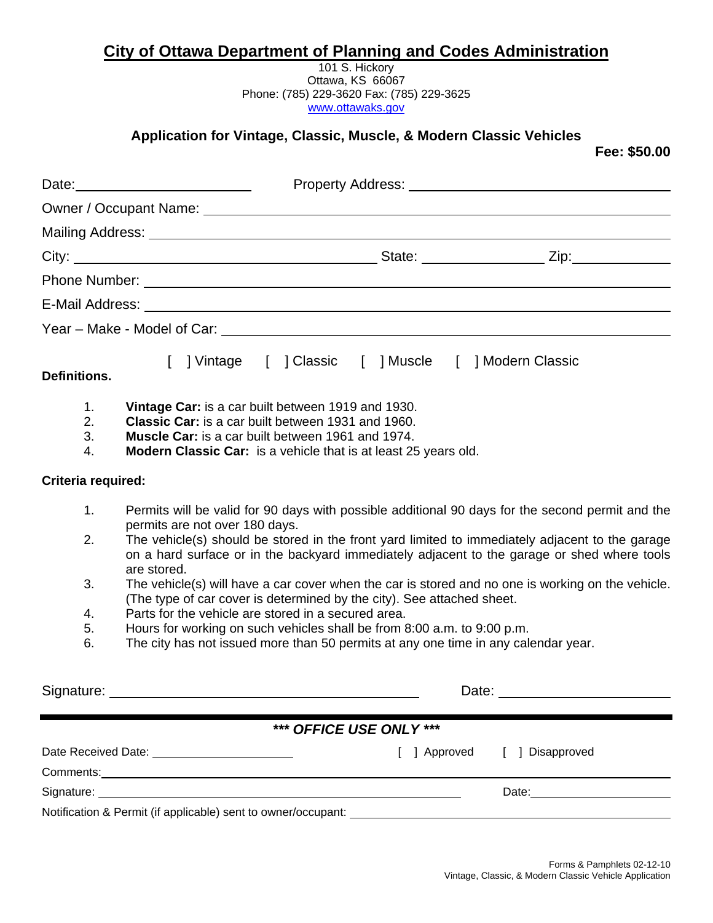### **City of Ottawa Department of Planning and Codes Administration**

101 S. Hickory Ottawa, KS 66067 Phone: (785) 229-3620 Fax: (785) 229-3625 [www.ottawaks.gov](http://www.ottawaks.gov/)

## **Application for Vintage, Classic, Muscle, & Modern Classic Vehicles**

**Fee: \$50.00** 

| Property Address: Lawrence and Contract and Contract of the Contract of the Contract of the Contract of the Contract of the Contract of the Contract of the Contract of the Contract of the Contract of the Contract of the Co<br>Date: <u>_____________________</u><br>Owner / Occupant Name: University of the Community of the Community of the Community of the Community of the Co<br>E-Mail Address: Weblater and the contract of the contract of the contract of the contract of the contract of the contract of the contract of the contract of the contract of the contract of the contract of the contract of t<br>  Vintage   Classic   Muscle   Modern Classic<br>Vintage Car: is a car built between 1919 and 1930.<br>1.<br>2.<br><b>Classic Car:</b> is a car built between 1931 and 1960.<br>3.<br><b>Muscle Car:</b> is a car built between 1961 and 1974.<br>Modern Classic Car: is a vehicle that is at least 25 years old.<br>4.<br>Criteria required:<br>1.<br>permits are not over 180 days.<br>2.<br>are stored.<br>3.<br>The vehicle(s) will have a car cover when the car is stored and no one is working on the vehicle.<br>(The type of car cover is determined by the city). See attached sheet.<br>Parts for the vehicle are stored in a secured area.<br>4.<br>5.<br>Hours for working on such vehicles shall be from 8:00 a.m. to 9:00 p.m.<br>6.<br>The city has not issued more than 50 permits at any one time in any calendar year.<br>*** OFFICE USE ONLY ***<br>Date Received Date: _________________________<br>[ ] Disapproved<br>[ ] Approved<br>Date: 2008 |              |  |
|-----------------------------------------------------------------------------------------------------------------------------------------------------------------------------------------------------------------------------------------------------------------------------------------------------------------------------------------------------------------------------------------------------------------------------------------------------------------------------------------------------------------------------------------------------------------------------------------------------------------------------------------------------------------------------------------------------------------------------------------------------------------------------------------------------------------------------------------------------------------------------------------------------------------------------------------------------------------------------------------------------------------------------------------------------------------------------------------------------------------------------------------------------------------------------------------------------------------------------------------------------------------------------------------------------------------------------------------------------------------------------------------------------------------------------------------------------------------------------------------------------------------------------------------------------------------------------------------------------|--------------|--|
| Permits will be valid for 90 days with possible additional 90 days for the second permit and the<br>The vehicle(s) should be stored in the front yard limited to immediately adjacent to the garage<br>on a hard surface or in the backyard immediately adjacent to the garage or shed where tools                                                                                                                                                                                                                                                                                                                                                                                                                                                                                                                                                                                                                                                                                                                                                                                                                                                                                                                                                                                                                                                                                                                                                                                                                                                                                                  |              |  |
|                                                                                                                                                                                                                                                                                                                                                                                                                                                                                                                                                                                                                                                                                                                                                                                                                                                                                                                                                                                                                                                                                                                                                                                                                                                                                                                                                                                                                                                                                                                                                                                                     |              |  |
|                                                                                                                                                                                                                                                                                                                                                                                                                                                                                                                                                                                                                                                                                                                                                                                                                                                                                                                                                                                                                                                                                                                                                                                                                                                                                                                                                                                                                                                                                                                                                                                                     |              |  |
|                                                                                                                                                                                                                                                                                                                                                                                                                                                                                                                                                                                                                                                                                                                                                                                                                                                                                                                                                                                                                                                                                                                                                                                                                                                                                                                                                                                                                                                                                                                                                                                                     |              |  |
|                                                                                                                                                                                                                                                                                                                                                                                                                                                                                                                                                                                                                                                                                                                                                                                                                                                                                                                                                                                                                                                                                                                                                                                                                                                                                                                                                                                                                                                                                                                                                                                                     |              |  |
|                                                                                                                                                                                                                                                                                                                                                                                                                                                                                                                                                                                                                                                                                                                                                                                                                                                                                                                                                                                                                                                                                                                                                                                                                                                                                                                                                                                                                                                                                                                                                                                                     |              |  |
|                                                                                                                                                                                                                                                                                                                                                                                                                                                                                                                                                                                                                                                                                                                                                                                                                                                                                                                                                                                                                                                                                                                                                                                                                                                                                                                                                                                                                                                                                                                                                                                                     |              |  |
|                                                                                                                                                                                                                                                                                                                                                                                                                                                                                                                                                                                                                                                                                                                                                                                                                                                                                                                                                                                                                                                                                                                                                                                                                                                                                                                                                                                                                                                                                                                                                                                                     | Definitions. |  |
|                                                                                                                                                                                                                                                                                                                                                                                                                                                                                                                                                                                                                                                                                                                                                                                                                                                                                                                                                                                                                                                                                                                                                                                                                                                                                                                                                                                                                                                                                                                                                                                                     |              |  |
|                                                                                                                                                                                                                                                                                                                                                                                                                                                                                                                                                                                                                                                                                                                                                                                                                                                                                                                                                                                                                                                                                                                                                                                                                                                                                                                                                                                                                                                                                                                                                                                                     |              |  |
|                                                                                                                                                                                                                                                                                                                                                                                                                                                                                                                                                                                                                                                                                                                                                                                                                                                                                                                                                                                                                                                                                                                                                                                                                                                                                                                                                                                                                                                                                                                                                                                                     |              |  |
|                                                                                                                                                                                                                                                                                                                                                                                                                                                                                                                                                                                                                                                                                                                                                                                                                                                                                                                                                                                                                                                                                                                                                                                                                                                                                                                                                                                                                                                                                                                                                                                                     |              |  |
|                                                                                                                                                                                                                                                                                                                                                                                                                                                                                                                                                                                                                                                                                                                                                                                                                                                                                                                                                                                                                                                                                                                                                                                                                                                                                                                                                                                                                                                                                                                                                                                                     |              |  |
|                                                                                                                                                                                                                                                                                                                                                                                                                                                                                                                                                                                                                                                                                                                                                                                                                                                                                                                                                                                                                                                                                                                                                                                                                                                                                                                                                                                                                                                                                                                                                                                                     |              |  |
|                                                                                                                                                                                                                                                                                                                                                                                                                                                                                                                                                                                                                                                                                                                                                                                                                                                                                                                                                                                                                                                                                                                                                                                                                                                                                                                                                                                                                                                                                                                                                                                                     |              |  |
|                                                                                                                                                                                                                                                                                                                                                                                                                                                                                                                                                                                                                                                                                                                                                                                                                                                                                                                                                                                                                                                                                                                                                                                                                                                                                                                                                                                                                                                                                                                                                                                                     |              |  |
|                                                                                                                                                                                                                                                                                                                                                                                                                                                                                                                                                                                                                                                                                                                                                                                                                                                                                                                                                                                                                                                                                                                                                                                                                                                                                                                                                                                                                                                                                                                                                                                                     |              |  |